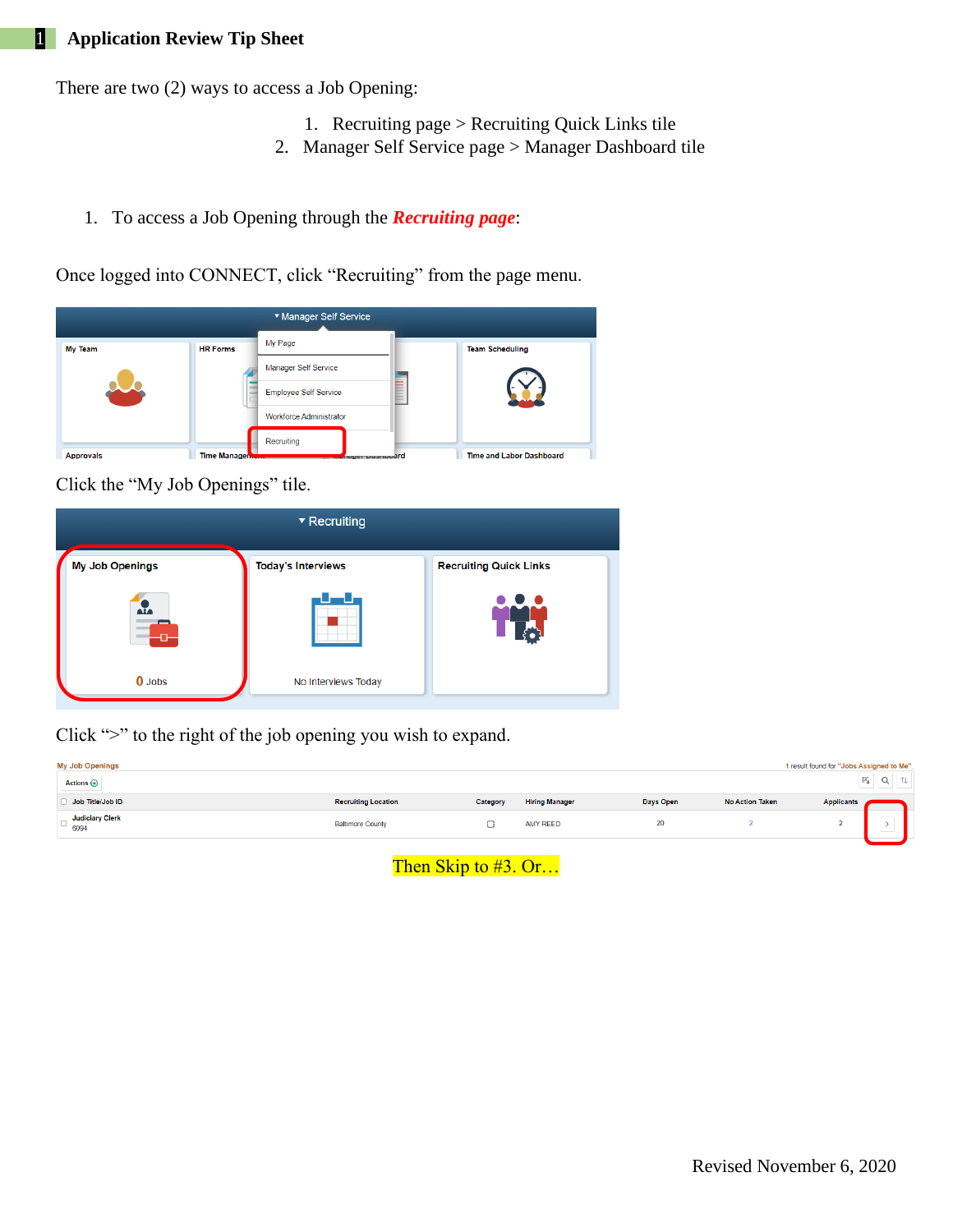There are two (2) ways to access a Job Opening:

- 1. Recruiting page > Recruiting Quick Links tile
- 2. Manager Self Service page > Manager Dashboard tile
- 1. To access a Job Opening through the *Recruiting page*:

Once logged into CONNECT, click "Recruiting" from the page menu.



Click the "My Job Openings" tile.



Click ">" to the right of the job opening you wish to expand.

| <b>My Job Openings</b><br>1 result found for "Jobs Assigned to Me".<br>$Q \mid$<br>Actions $\odot$ |                            |          |                       |           |                        |                   |               |  |  |
|----------------------------------------------------------------------------------------------------|----------------------------|----------|-----------------------|-----------|------------------------|-------------------|---------------|--|--|
| Job Title/Job ID                                                                                   | <b>Recruiting Location</b> | Category | <b>Hiring Manager</b> | Days Open | <b>No Action Taken</b> | <b>Applicants</b> |               |  |  |
| <b>Judiciary Clerk</b><br>$-6094$                                                                  | <b>Baltimore County</b>    |          | <b>AMY REED</b>       | 20        |                        | -                 | ___<br>.<br>. |  |  |

Then Skip to #3. Or...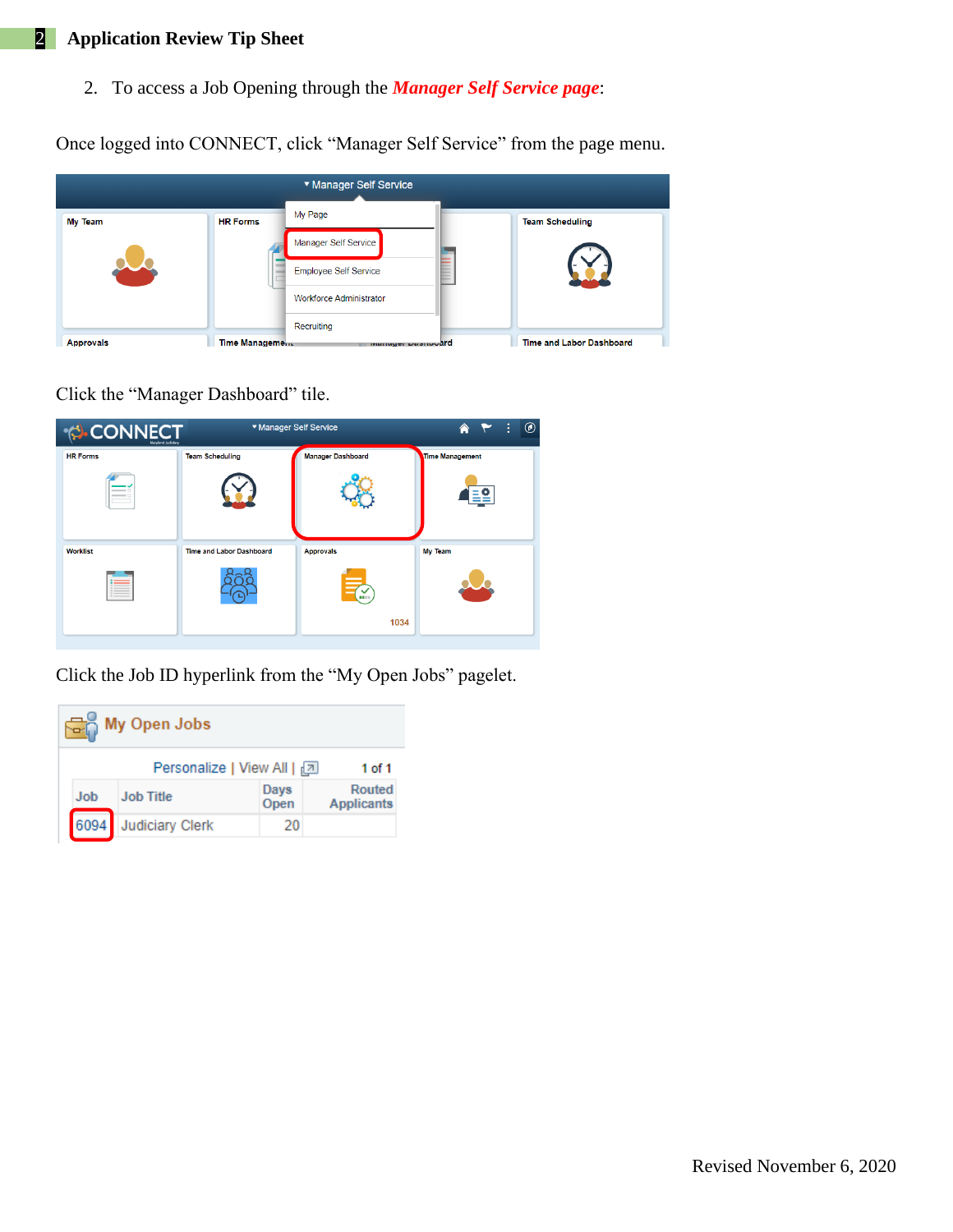## 2 **Application Review Tip Sheet**

2. To access a Job Opening through the *Manager Self Service page*:

Once logged into CONNECT, click "Manager Self Service" from the page menu.

| ▼ Manager Self Service |                        |                                |  |                          |  |  |  |  |
|------------------------|------------------------|--------------------------------|--|--------------------------|--|--|--|--|
| <b>My Team</b>         | <b>HR Forms</b>        | My Page                        |  | <b>Team Scheduling</b>   |  |  |  |  |
|                        |                        | Manager Self Service           |  |                          |  |  |  |  |
|                        |                        | <b>Employee Self Service</b>   |  |                          |  |  |  |  |
|                        |                        | <b>Workforce Administrator</b> |  |                          |  |  |  |  |
|                        |                        | Recruiting                     |  |                          |  |  |  |  |
| <b>Approvals</b>       | <b>Time Management</b> | manager Dasmoodrd              |  | Time and Labor Dashboard |  |  |  |  |

Click the "Manager Dashboard" tile.



Click the Job ID hyperlink from the "My Open Jobs" pagelet.

| <b>My Open Jobs</b> |            |                                      |              |                             |  |  |  |
|---------------------|------------|--------------------------------------|--------------|-----------------------------|--|--|--|
|                     |            | Personalize   View All   2<br>1 of 1 |              |                             |  |  |  |
|                     | <b>Job</b> | <b>Job Title</b>                     | Days<br>Open | Routed<br><b>Applicants</b> |  |  |  |
|                     | 6094       | <b>Judiciary Clerk</b>               | 20           |                             |  |  |  |